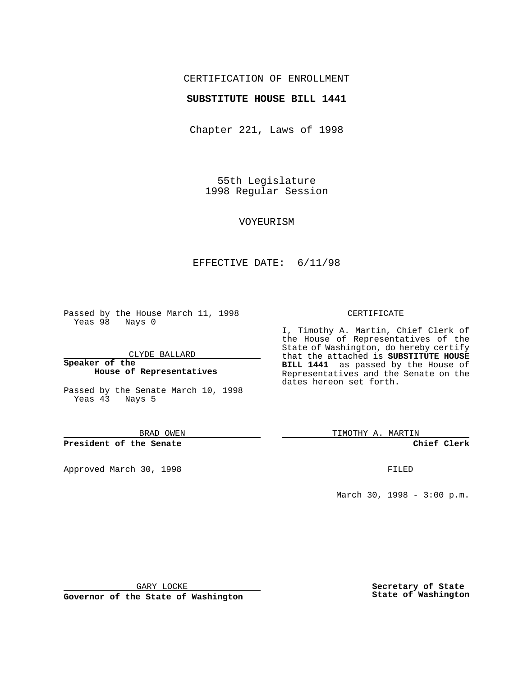# CERTIFICATION OF ENROLLMENT

### **SUBSTITUTE HOUSE BILL 1441**

Chapter 221, Laws of 1998

55th Legislature 1998 Regular Session

#### VOYEURISM

### EFFECTIVE DATE: 6/11/98

Passed by the House March 11, 1998 Yeas 98 Nays 0

CLYDE BALLARD

**Speaker of the House of Representatives**

Passed by the Senate March 10, 1998 Yeas 43 Nays 5

BRAD OWEN

**President of the Senate**

Approved March 30, 1998 **FILED** 

#### CERTIFICATE

I, Timothy A. Martin, Chief Clerk of the House of Representatives of the State of Washington, do hereby certify that the attached is **SUBSTITUTE HOUSE BILL 1441** as passed by the House of Representatives and the Senate on the dates hereon set forth.

TIMOTHY A. MARTIN

**Chief Clerk**

March 30, 1998 - 3:00 p.m.

GARY LOCKE

**Governor of the State of Washington**

**Secretary of State State of Washington**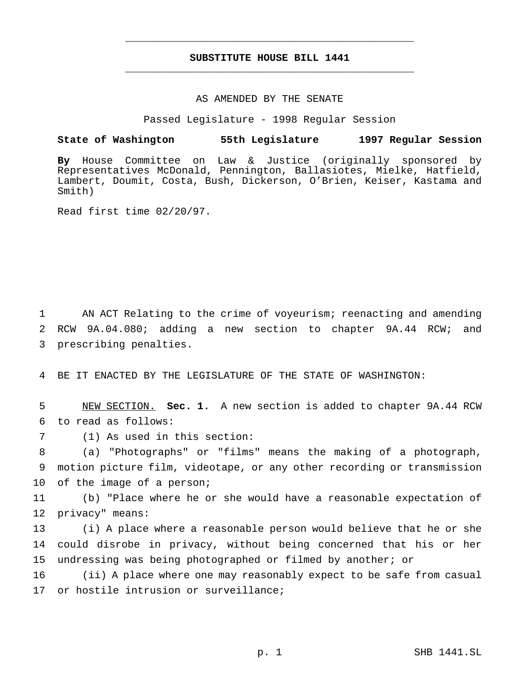# **SUBSTITUTE HOUSE BILL 1441** \_\_\_\_\_\_\_\_\_\_\_\_\_\_\_\_\_\_\_\_\_\_\_\_\_\_\_\_\_\_\_\_\_\_\_\_\_\_\_\_\_\_\_\_\_\_\_

\_\_\_\_\_\_\_\_\_\_\_\_\_\_\_\_\_\_\_\_\_\_\_\_\_\_\_\_\_\_\_\_\_\_\_\_\_\_\_\_\_\_\_\_\_\_\_

### AS AMENDED BY THE SENATE

Passed Legislature - 1998 Regular Session

## **State of Washington 55th Legislature 1997 Regular Session**

**By** House Committee on Law & Justice (originally sponsored by Representatives McDonald, Pennington, Ballasiotes, Mielke, Hatfield, Lambert, Doumit, Costa, Bush, Dickerson, O'Brien, Keiser, Kastama and Smith)

Read first time 02/20/97.

1 AN ACT Relating to the crime of voyeurism; reenacting and amending 2 RCW 9A.04.080; adding a new section to chapter 9A.44 RCW; and 3 prescribing penalties.

4 BE IT ENACTED BY THE LEGISLATURE OF THE STATE OF WASHINGTON:

5 NEW SECTION. **Sec. 1.** A new section is added to chapter 9A.44 RCW 6 to read as follows:

7 (1) As used in this section:

8 (a) "Photographs" or "films" means the making of a photograph, 9 motion picture film, videotape, or any other recording or transmission 10 of the image of a person;

11 (b) "Place where he or she would have a reasonable expectation of 12 privacy" means:

13 (i) A place where a reasonable person would believe that he or she 14 could disrobe in privacy, without being concerned that his or her 15 undressing was being photographed or filmed by another; or

16 (ii) A place where one may reasonably expect to be safe from casual 17 or hostile intrusion or surveillance;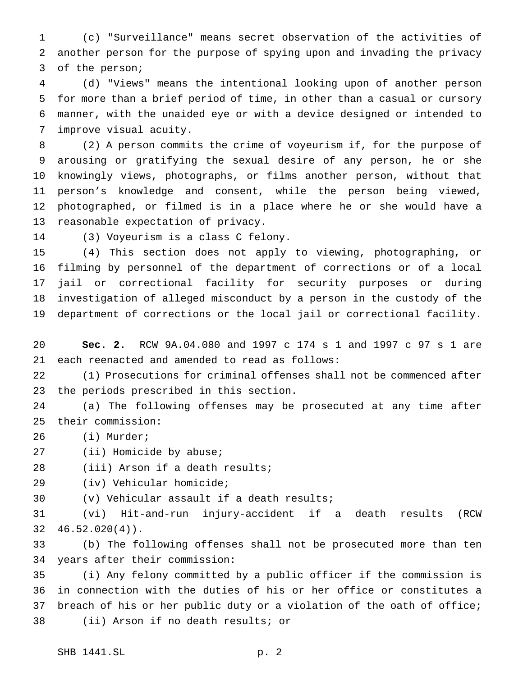(c) "Surveillance" means secret observation of the activities of another person for the purpose of spying upon and invading the privacy of the person;

 (d) "Views" means the intentional looking upon of another person for more than a brief period of time, in other than a casual or cursory manner, with the unaided eye or with a device designed or intended to improve visual acuity.

 (2) A person commits the crime of voyeurism if, for the purpose of arousing or gratifying the sexual desire of any person, he or she knowingly views, photographs, or films another person, without that person's knowledge and consent, while the person being viewed, photographed, or filmed is in a place where he or she would have a reasonable expectation of privacy.

(3) Voyeurism is a class C felony.

 (4) This section does not apply to viewing, photographing, or filming by personnel of the department of corrections or of a local jail or correctional facility for security purposes or during investigation of alleged misconduct by a person in the custody of the department of corrections or the local jail or correctional facility.

 **Sec. 2.** RCW 9A.04.080 and 1997 c 174 s 1 and 1997 c 97 s 1 are each reenacted and amended to read as follows:

 (1) Prosecutions for criminal offenses shall not be commenced after the periods prescribed in this section.

 (a) The following offenses may be prosecuted at any time after their commission:

(i) Murder;

27 (ii) Homicide by abuse;

(iii) Arson if a death results;

(iv) Vehicular homicide;

(v) Vehicular assault if a death results;

 (vi) Hit-and-run injury-accident if a death results (RCW 46.52.020(4)).

 (b) The following offenses shall not be prosecuted more than ten years after their commission:

 (i) Any felony committed by a public officer if the commission is in connection with the duties of his or her office or constitutes a breach of his or her public duty or a violation of the oath of office; (ii) Arson if no death results; or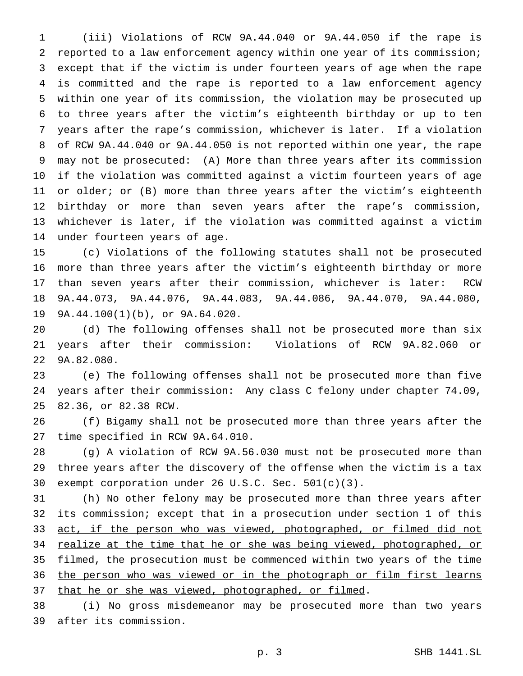(iii) Violations of RCW 9A.44.040 or 9A.44.050 if the rape is reported to a law enforcement agency within one year of its commission; except that if the victim is under fourteen years of age when the rape is committed and the rape is reported to a law enforcement agency within one year of its commission, the violation may be prosecuted up to three years after the victim's eighteenth birthday or up to ten years after the rape's commission, whichever is later. If a violation of RCW 9A.44.040 or 9A.44.050 is not reported within one year, the rape may not be prosecuted: (A) More than three years after its commission if the violation was committed against a victim fourteen years of age 11 or older; or (B) more than three years after the victim's eighteenth birthday or more than seven years after the rape's commission, whichever is later, if the violation was committed against a victim under fourteen years of age.

 (c) Violations of the following statutes shall not be prosecuted more than three years after the victim's eighteenth birthday or more than seven years after their commission, whichever is later: RCW 9A.44.073, 9A.44.076, 9A.44.083, 9A.44.086, 9A.44.070, 9A.44.080, 9A.44.100(1)(b), or 9A.64.020.

 (d) The following offenses shall not be prosecuted more than six years after their commission: Violations of RCW 9A.82.060 or 9A.82.080.

 (e) The following offenses shall not be prosecuted more than five years after their commission: Any class C felony under chapter 74.09, 82.36, or 82.38 RCW.

 (f) Bigamy shall not be prosecuted more than three years after the time specified in RCW 9A.64.010.

 (g) A violation of RCW 9A.56.030 must not be prosecuted more than three years after the discovery of the offense when the victim is a tax exempt corporation under 26 U.S.C. Sec. 501(c)(3).

 (h) No other felony may be prosecuted more than three years after 32 its commission; except that in a prosecution under section 1 of this 33 act, if the person who was viewed, photographed, or filmed did not 34 realize at the time that he or she was being viewed, photographed, or 35 filmed, the prosecution must be commenced within two years of the time 36 the person who was viewed or in the photograph or film first learns 37 that he or she was viewed, photographed, or filmed.

 (i) No gross misdemeanor may be prosecuted more than two years after its commission.